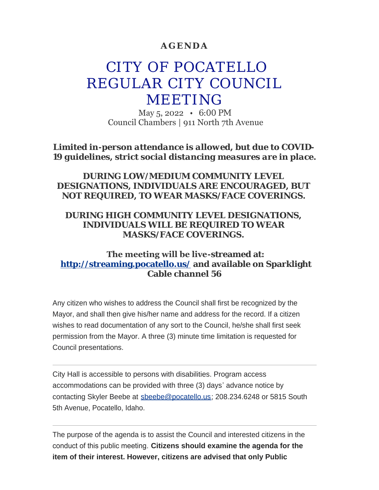### **AGENDA**

# CITY OF POCATELLO REGULAR CITY COUNCIL MEETING

May 5, 2022 • 6:00 PM Council Chambers | 911 North 7th Avenue

*Limited in-person attendance is allowed, but due to COVID-19 guidelines, strict social distancing measures are in place.*

### *DURING LOW/MEDIUM COMMUNITY LEVEL DESIGNATIONS, INDIVIDUALS ARE ENCOURAGED, BUT NOT REQUIRED, TO WEAR MASKS/FACE COVERINGS.*

### *DURING HIGH COMMUNITY LEVEL DESIGNATIONS, INDIVIDUALS WILL BE REQUIRED TO WEAR MASKS/FACE COVERINGS.*

### **The meeting will be live-streamed at: <http://streaming.pocatello.us/> and available on Sparklight Cable channel 56**

Any citizen who wishes to address the Council shall first be recognized by the Mayor, and shall then give his/her name and address for the record. If a citizen wishes to read documentation of any sort to the Council, he/she shall first seek permission from the Mayor. A three (3) minute time limitation is requested for Council presentations.

City Hall is accessible to persons with disabilities. Program access accommodations can be provided with three (3) days' advance notice by contacting Skyler Beebe at [sbeebe@pocatello.us;](mailto:sbeebe@pocatello.us) 208.234.6248 or 5815 South 5th Avenue, Pocatello, Idaho.

The purpose of the agenda is to assist the Council and interested citizens in the conduct of this public meeting. **Citizens should examine the agenda for the item of their interest. However, citizens are advised that only Public**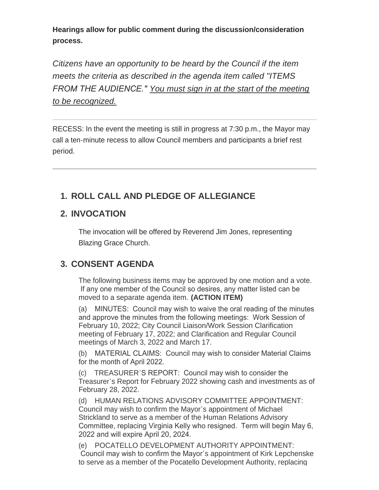**Hearings allow for public comment during the discussion/consideration process.**

*Citizens have an opportunity to be heard by the Council if the item meets the criteria as described in the agenda item called "ITEMS FROM THE AUDIENCE." You must sign in at the start of the meeting to be recognized.*

RECESS: In the event the meeting is still in progress at 7:30 p.m., the Mayor may call a ten-minute recess to allow Council members and participants a brief rest period.

# **ROLL CALL AND PLEDGE OF ALLEGIANCE 1.**

# **INVOCATION 2.**

The invocation will be offered by Reverend Jim Jones, representing Blazing Grace Church.

# **CONSENT AGENDA 3.**

The following business items may be approved by one motion and a vote. If any one member of the Council so desires, any matter listed can be moved to a separate agenda item. **(ACTION ITEM)**

(a) MINUTES: Council may wish to waive the oral reading of the minutes and approve the minutes from the following meetings: Work Session of February 10, 2022; City Council Liaison/Work Session Clarification meeting of February 17, 2022; and Clarification and Regular Council meetings of March 3, 2022 and March 17.

(b) MATERIAL CLAIMS: Council may wish to consider Material Claims for the month of April 2022.

(c) TREASURER'S REPORT: Council may wish to consider the Treasurer's Report for February 2022 showing cash and investments as of February 28, 2022.

(d) HUMAN RELATIONS ADVISORY COMMITTEE APPOINTMENT: Council may wish to confirm the Mayor's appointment of Michael Strickland to serve as a member of the Human Relations Advisory Committee, replacing Virginia Kelly who resigned. Term will begin May 6, 2022 and will expire April 20, 2024.

(e) POCATELLO DEVELOPMENT AUTHORITY APPOINTMENT: Council may wish to confirm the Mayor's appointment of Kirk Lepchenske to serve as a member of the Pocatello Development Authority, replacing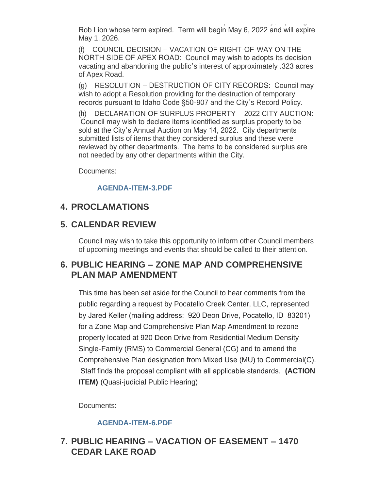to serve as a member of the Pocatello Development Authority, replacing Rob Lion whose term expired. Term will begin May 6, 2022 and will expire May 1, 2026.

(f) COUNCIL DECISION – VACATION OF RIGHT-OF-WAY ON THE NORTH SIDE OF APEX ROAD: Council may wish to adopts its decision vacating and abandoning the public's interest of approximately .323 acres of Apex Road.

(g) RESOLUTION – DESTRUCTION OF CITY RECORDS: Council may wish to adopt a Resolution providing for the destruction of temporary records pursuant to Idaho Code §50-907 and the City's Record Policy.

(h) DECLARATION OF SURPLUS PROPERTY – 2022 CITY AUCTION: Council may wish to declare items identified as surplus property to be sold at the City's Annual Auction on May 14, 2022. City departments submitted lists of items that they considered surplus and these were reviewed by other departments. The items to be considered surplus are not needed by any other departments within the City.

Documents:

#### **[AGENDA-ITEM-3.PDF](https://www.pocatello.us/AgendaCenter/ViewFile/Item/3321?fileID=10692)**

# **PROCLAMATIONS 4.**

# **CALENDAR REVIEW 5.**

Council may wish to take this opportunity to inform other Council members of upcoming meetings and events that should be called to their attention.

# **PUBLIC HEARING – ZONE MAP AND COMPREHENSIVE 6. PLAN MAP AMENDMENT**

This time has been set aside for the Council to hear comments from the public regarding a request by Pocatello Creek Center, LLC, represented by Jared Keller (mailing address: 920 Deon Drive, Pocatello, ID 83201) for a Zone Map and Comprehensive Plan Map Amendment to rezone property located at 920 Deon Drive from Residential Medium Density Single-Family (RMS) to Commercial General (CG) and to amend the Comprehensive Plan designation from Mixed Use (MU) to Commercial(C). Staff finds the proposal compliant with all applicable standards. **(ACTION ITEM)** (Quasi-judicial Public Hearing)

Documents:

### **[AGENDA-ITEM-6.PDF](https://www.pocatello.us/AgendaCenter/ViewFile/Item/3322?fileID=10691)**

# **PUBLIC HEARING – VACATION OF EASEMENT – 1470 7. CEDAR LAKE ROAD**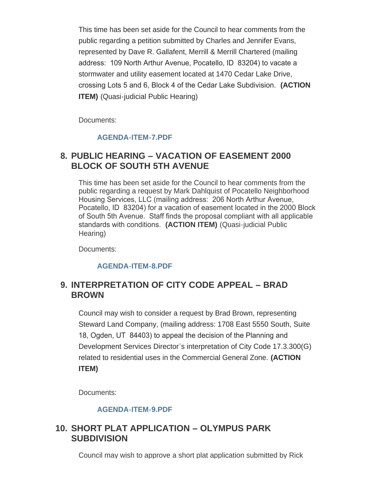This time has been set aside for the Council to hear comments from the public regarding a petition submitted by Charles and Jennifer Evans, represented by Dave R. Gallafent, Merrill & Merrill Chartered (mailing address: 109 North Arthur Avenue, Pocatello, ID 83204) to vacate a stormwater and utility easement located at 1470 Cedar Lake Drive, crossing Lots 5 and 6, Block 4 of the Cedar Lake Subdivision. **(ACTION ITEM)** (Quasi-judicial Public Hearing)

Documents:

#### **[AGENDA-ITEM-7.PDF](https://www.pocatello.us/AgendaCenter/ViewFile/Item/3323?fileID=10693)**

### **PUBLIC HEARING – VACATION OF EASEMENT 2000 8. BLOCK OF SOUTH 5TH AVENUE**

This time has been set aside for the Council to hear comments from the public regarding a request by Mark Dahlquist of Pocatello Neighborhood Housing Services, LLC (mailing address: 206 North Arthur Avenue, Pocatello, ID 83204) for a vacation of easement located in the 2000 Block of South 5th Avenue. Staff finds the proposal compliant with all applicable standards with conditions. **(ACTION ITEM)** (Quasi-judicial Public Hearing)

Documents:

#### **[AGENDA-ITEM-8.PDF](https://www.pocatello.us/AgendaCenter/ViewFile/Item/3324?fileID=10694)**

### **INTERPRETATION OF CITY CODE APPEAL – BRAD 9. BROWN**

Council may wish to consider a request by Brad Brown, representing Steward Land Company, (mailing address: 1708 East 5550 South, Suite 18, Ogden, UT 84403) to appeal the decision of the Planning and Development Services Director's interpretation of City Code 17.3.300(G) related to residential uses in the Commercial General Zone. **(ACTION ITEM)**

Documents:

#### **[AGENDA-ITEM-9.PDF](https://www.pocatello.us/AgendaCenter/ViewFile/Item/3325?fileID=10695)**

### **SHORT PLAT APPLICATION – OLYMPUS PARK 10. SUBDIVISION**

Council may wish to approve a short plat application submitted by Rick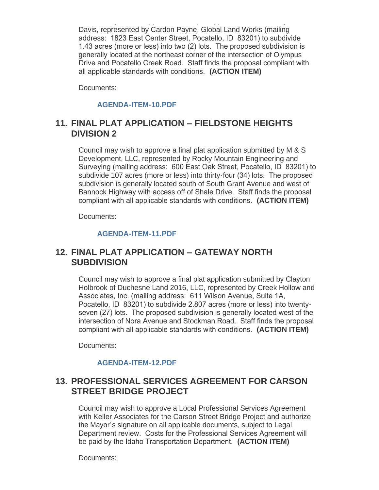Council may wish to approve a short plat application submitted by Rick Davis, represented by Cardon Payne, Global Land Works (mailing address: 1823 East Center Street, Pocatello, ID 83201) to subdivide 1.43 acres (more or less) into two (2) lots. The proposed subdivision is generally located at the northeast corner of the intersection of Olympus Drive and Pocatello Creek Road. Staff finds the proposal compliant with all applicable standards with conditions. **(ACTION ITEM)**

Documents:

#### **[AGENDA-ITEM-10.PDF](https://www.pocatello.us/AgendaCenter/ViewFile/Item/3326?fileID=10696)**

# **FINAL PLAT APPLICATION – FIELDSTONE HEIGHTS 11. DIVISION 2**

Council may wish to approve a final plat application submitted by M & S Development, LLC, represented by Rocky Mountain Engineering and Surveying (mailing address: 600 East Oak Street, Pocatello, ID 83201) to subdivide 107 acres (more or less) into thirty-four (34) lots. The proposed subdivision is generally located south of South Grant Avenue and west of Bannock Highway with access off of Shale Drive. Staff finds the proposal compliant with all applicable standards with conditions. **(ACTION ITEM)**

Documents:

#### **[AGENDA-ITEM-11.PDF](https://www.pocatello.us/AgendaCenter/ViewFile/Item/3327?fileID=10697)**

### **FINAL PLAT APPLICATION – GATEWAY NORTH 12. SUBDIVISION**

Council may wish to approve a final plat application submitted by Clayton Holbrook of Duchesne Land 2016, LLC, represented by Creek Hollow and Associates, Inc. (mailing address: 611 Wilson Avenue, Suite 1A, Pocatello, ID 83201) to subdivide 2.807 acres (more or less) into twentyseven (27) lots. The proposed subdivision is generally located west of the intersection of Nora Avenue and Stockman Road. Staff finds the proposal compliant with all applicable standards with conditions. **(ACTION ITEM)**

Documents:

#### **[AGENDA-ITEM-12.PDF](https://www.pocatello.us/AgendaCenter/ViewFile/Item/3328?fileID=10698)**

# **PROFESSIONAL SERVICES AGREEMENT FOR CARSON 13. STREET BRIDGE PROJECT**

Council may wish to approve a Local Professional Services Agreement with Keller Associates for the Carson Street Bridge Project and authorize the Mayor's signature on all applicable documents, subject to Legal Department review. Costs for the Professional Services Agreement will be paid by the Idaho Transportation Department. **(ACTION ITEM)**

Documents: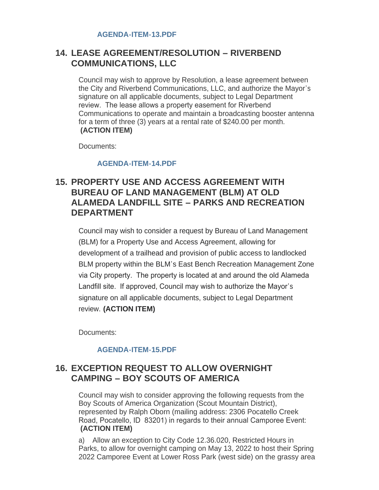# **LEASE AGREEMENT/RESOLUTION – RIVERBEND 14. COMMUNICATIONS, LLC**

Council may wish to approve by Resolution, a lease agreement between the City and Riverbend Communications, LLC, and authorize the Mayor's signature on all applicable documents, subject to Legal Department review. The lease allows a property easement for Riverbend Communications to operate and maintain a broadcasting booster antenna for a term of three (3) years at a rental rate of \$240.00 per month. **(ACTION ITEM)**

Documents:

#### **[AGENDA-ITEM-14.PDF](https://www.pocatello.us/AgendaCenter/ViewFile/Item/3330?fileID=10700)**

# **PROPERTY USE AND ACCESS AGREEMENT WITH 15. BUREAU OF LAND MANAGEMENT (BLM) AT OLD ALAMEDA LANDFILL SITE – PARKS AND RECREATION DEPARTMENT**

Council may wish to consider a request by Bureau of Land Management (BLM) for a Property Use and Access Agreement, allowing for development of a trailhead and provision of public access to landlocked BLM property within the BLM's East Bench Recreation Management Zone via City property. The property is located at and around the old Alameda Landfill site. If approved, Council may wish to authorize the Mayor's signature on all applicable documents, subject to Legal Department review. **(ACTION ITEM)**

Documents:

#### **[AGENDA-ITEM-15.PDF](https://www.pocatello.us/AgendaCenter/ViewFile/Item/3331?fileID=10705)**

# **EXCEPTION REQUEST TO ALLOW OVERNIGHT 16. CAMPING – BOY SCOUTS OF AMERICA**

Council may wish to consider approving the following requests from the Boy Scouts of America Organization (Scout Mountain District), represented by Ralph Oborn (mailing address: 2306 Pocatello Creek Road, Pocatello, ID 83201) in regards to their annual Camporee Event: **(ACTION ITEM)**

a) Allow an exception to City Code 12.36.020, Restricted Hours in Parks, to allow for overnight camping on May 13, 2022 to host their Spring 2022 Camporee Event at Lower Ross Park (west side) on the grassy area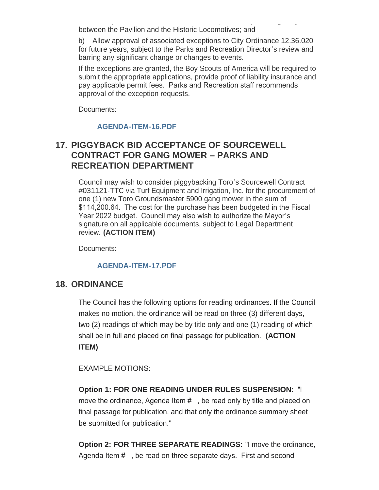2022 Camporee Event at Lower Ross Park (west side) on the grassy area between the Pavilion and the Historic Locomotives; and

b) Allow approval of associated exceptions to City Ordinance 12.36.020 for future years, subject to the Parks and Recreation Director's review and barring any significant change or changes to events.

If the exceptions are granted, the Boy Scouts of America will be required to submit the appropriate applications, provide proof of liability insurance and pay applicable permit fees. Parks and Recreation staff recommends approval of the exception requests.

Documents:

#### **[AGENDA-ITEM-16.PDF](https://www.pocatello.us/AgendaCenter/ViewFile/Item/3332?fileID=10702)**

# **PIGGYBACK BID ACCEPTANCE OF SOURCEWELL 17. CONTRACT FOR GANG MOWER – PARKS AND RECREATION DEPARTMENT**

Council may wish to consider piggybacking Toro's Sourcewell Contract #031121-TTC via Turf Equipment and Irrigation, Inc. for the procurement of one (1) new Toro Groundsmaster 5900 gang mower in the sum of \$114,200.64. The cost for the purchase has been budgeted in the Fiscal Year 2022 budget. Council may also wish to authorize the Mayor's signature on all applicable documents, subject to Legal Department review. **(ACTION ITEM)**

Documents:

#### **[AGENDA-ITEM-17.PDF](https://www.pocatello.us/AgendaCenter/ViewFile/Item/3333?fileID=10703)**

### 18. ORDINANCE

The Council has the following options for reading ordinances. If the Council makes no motion, the ordinance will be read on three (3) different days, two (2) readings of which may be by title only and one (1) reading of which shall be in full and placed on final passage for publication. **(ACTION ITEM)**

EXAMPLE MOTIONS:

**Option 1: FOR ONE READING UNDER RULES SUSPENSION:** "I move the ordinance, Agenda Item #, be read only by title and placed on final passage for publication, and that only the ordinance summary sheet be submitted for publication."

**Option 2: FOR THREE SEPARATE READINGS:** "I move the ordinance, Agenda Item # , be read on three separate days. First and second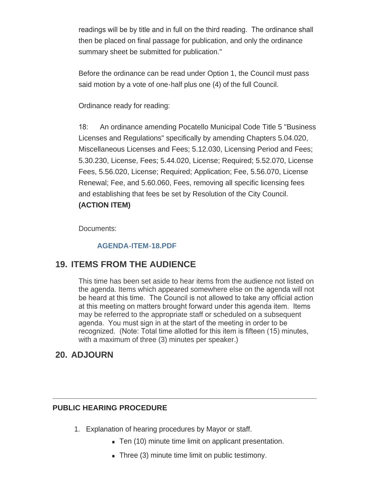readings will be by title and in full on the third reading. The ordinance shall then be placed on final passage for publication, and only the ordinance summary sheet be submitted for publication."

Before the ordinance can be read under Option 1, the Council must pass said motion by a vote of one-half plus one (4) of the full Council.

Ordinance ready for reading:

18: An ordinance amending Pocatello Municipal Code Title 5 "Business Licenses and Regulations" specifically by amending Chapters 5.04.020, Miscellaneous Licenses and Fees; 5.12.030, Licensing Period and Fees; 5.30.230, License, Fees; 5.44.020, License; Required; 5.52.070, License Fees, 5.56.020, License; Required; Application; Fee, 5.56.070, License Renewal; Fee, and 5.60.060, Fees, removing all specific licensing fees and establishing that fees be set by Resolution of the City Council. **(ACTION ITEM)**

Documents:

#### **[AGENDA-ITEM-18.PDF](https://www.pocatello.us/AgendaCenter/ViewFile/Item/3334?fileID=10704)**

# **19. ITEMS FROM THE AUDIENCE**

This time has been set aside to hear items from the audience not listed on the agenda. Items which appeared somewhere else on the agenda will not be heard at this time. The Council is not allowed to take any official action at this meeting on matters brought forward under this agenda item. Items may be referred to the appropriate staff or scheduled on a subsequent agenda. You must sign in at the start of the meeting in order to be recognized. (Note: Total time allotted for this item is fifteen (15) minutes, with a maximum of three (3) minutes per speaker.)

### **ADJOURN 20.**

#### **PUBLIC HEARING PROCEDURE**

- 1. Explanation of hearing procedures by Mayor or staff.
	- Ten (10) minute time limit on applicant presentation.
	- $\blacksquare$  Three (3) minute time limit on public testimony.